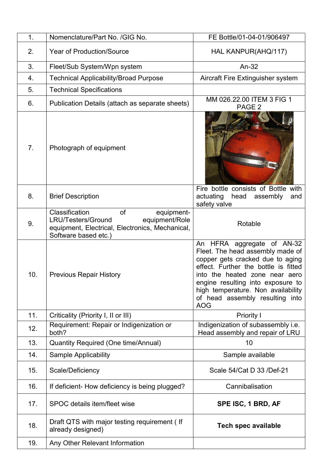| 1.             | Nomenclature/Part No. /GIG No.                                                                                                                               | FE Bottle/01-04-01/906497                                                                                                                                                                                                                                                                                |
|----------------|--------------------------------------------------------------------------------------------------------------------------------------------------------------|----------------------------------------------------------------------------------------------------------------------------------------------------------------------------------------------------------------------------------------------------------------------------------------------------------|
| 2.             | <b>Year of Production/Source</b>                                                                                                                             | HAL KANPUR(AHQ/117)                                                                                                                                                                                                                                                                                      |
| 3.             | Fleet/Sub System/Wpn system                                                                                                                                  | An-32                                                                                                                                                                                                                                                                                                    |
| 4.             | <b>Technical Applicability/Broad Purpose</b>                                                                                                                 | Aircraft Fire Extinguisher system                                                                                                                                                                                                                                                                        |
| 5.             | <b>Technical Specifications</b>                                                                                                                              |                                                                                                                                                                                                                                                                                                          |
| 6.             | Publication Details (attach as separate sheets)                                                                                                              | MM 026.22.00 ITEM 3 FIG 1<br>PAGE <sub>2</sub>                                                                                                                                                                                                                                                           |
| 7 <sub>1</sub> | Photograph of equipment                                                                                                                                      |                                                                                                                                                                                                                                                                                                          |
| 8.             | <b>Brief Description</b>                                                                                                                                     | Fire bottle consists of Bottle with<br>actuating<br>head<br>assembly<br>and<br>safety valve                                                                                                                                                                                                              |
| 9.             | Classification<br>of<br>equipment-<br><b>LRU/Testers/Ground</b><br>equipment/Role<br>equipment, Electrical, Electronics, Mechanical,<br>Software based etc.) | Rotable                                                                                                                                                                                                                                                                                                  |
| 10.            | <b>Previous Repair History</b>                                                                                                                               | An HFRA aggregate of AN-32<br>Fleet. The head assembly made of<br>copper gets cracked due to aging<br>effect. Further the bottle is fitted<br>into the heated zone near aero<br>engine resulting into exposure to<br>high temperature. Non availability<br>of head assembly resulting into<br><b>AOG</b> |
| 11.            | Criticality (Priority I, II or III)                                                                                                                          | <b>Priority I</b>                                                                                                                                                                                                                                                                                        |
| 12.            | Requirement: Repair or Indigenization or<br>both?                                                                                                            | Indigenization of subassembly i.e.<br>Head assembly and repair of LRU                                                                                                                                                                                                                                    |
| 13.            | Quantity Required (One time/Annual)                                                                                                                          | 10                                                                                                                                                                                                                                                                                                       |
| 14.            | <b>Sample Applicability</b>                                                                                                                                  | Sample available                                                                                                                                                                                                                                                                                         |
| 15.            | Scale/Deficiency                                                                                                                                             | Scale 54/Cat D 33 /Def-21                                                                                                                                                                                                                                                                                |
| 16.            | If deficient- How deficiency is being plugged?                                                                                                               | Cannibalisation                                                                                                                                                                                                                                                                                          |
| 17.            | SPOC details item/fleet wise                                                                                                                                 | SPE ISC, 1 BRD, AF                                                                                                                                                                                                                                                                                       |
| 18.            | Draft QTS with major testing requirement (If<br>already designed)                                                                                            | <b>Tech spec available</b>                                                                                                                                                                                                                                                                               |
| 19.            | Any Other Relevant Information                                                                                                                               |                                                                                                                                                                                                                                                                                                          |